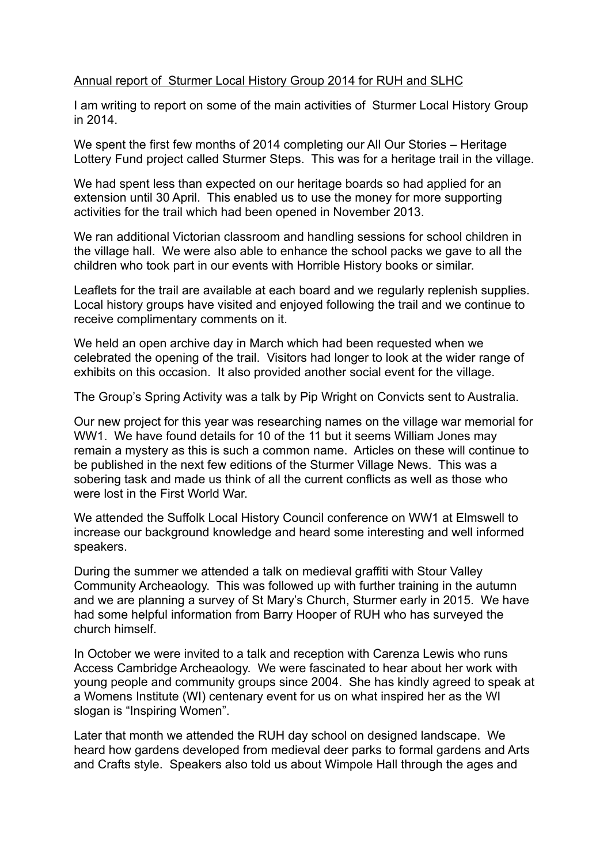## Annual report of Sturmer Local History Group 2014 for RUH and SLHC

I am writing to report on some of the main activities of Sturmer Local History Group in 2014.

We spent the first few months of 2014 completing our All Our Stories – Heritage Lottery Fund project called Sturmer Steps. This was for a heritage trail in the village.

We had spent less than expected on our heritage boards so had applied for an extension until 30 April. This enabled us to use the money for more supporting activities for the trail which had been opened in November 2013.

We ran additional Victorian classroom and handling sessions for school children in the village hall. We were also able to enhance the school packs we gave to all the children who took part in our events with Horrible History books or similar.

Leaflets for the trail are available at each board and we regularly replenish supplies. Local history groups have visited and enjoyed following the trail and we continue to receive complimentary comments on it.

We held an open archive day in March which had been requested when we celebrated the opening of the trail. Visitors had longer to look at the wider range of exhibits on this occasion. It also provided another social event for the village.

The Group's Spring Activity was a talk by Pip Wright on Convicts sent to Australia.

Our new project for this year was researching names on the village war memorial for WW1. We have found details for 10 of the 11 but it seems William Jones may remain a mystery as this is such a common name. Articles on these will continue to be published in the next few editions of the Sturmer Village News. This was a sobering task and made us think of all the current conflicts as well as those who were lost in the First World War.

We attended the Suffolk Local History Council conference on WW1 at Elmswell to increase our background knowledge and heard some interesting and well informed speakers.

During the summer we attended a talk on medieval graffiti with Stour Valley Community Archeaology. This was followed up with further training in the autumn and we are planning a survey of St Mary's Church, Sturmer early in 2015. We have had some helpful information from Barry Hooper of RUH who has surveyed the church himself.

In October we were invited to a talk and reception with Carenza Lewis who runs Access Cambridge Archeaology. We were fascinated to hear about her work with young people and community groups since 2004. She has kindly agreed to speak at a Womens Institute (WI) centenary event for us on what inspired her as the WI slogan is "Inspiring Women".

Later that month we attended the RUH day school on designed landscape. We heard how gardens developed from medieval deer parks to formal gardens and Arts and Crafts style. Speakers also told us about Wimpole Hall through the ages and